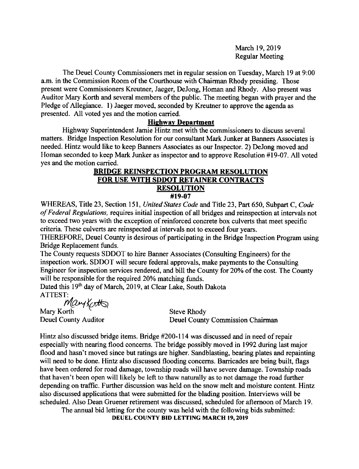March 19,2019 Regular Meeting

The Deuel County Commissioners met in regular session on Tuesday, March 19 at 9:00 a.m. in the Commission Room of the Courthouse with Chairman Rhody presiding. Those present were Commissioners Kreutner, Jaeger, DeJong, Homan and Rhody. Also present was Auditor Mary Korth and several members of the public. The meeting began with prayer and the Pledge of Allegiance. 1) Jaeger moved, seconded by Kreutner to approve the agenda as presented. All voted yes and the motion carried.

#### **Highway Department**

Highway Superintendent Jamie Hintz met with the commissioners to discuss several matters. Bridge Inspection Resolution for our consultant Mark Junker at Banners Associates is needed. Hintz would like to keep Banners Associates as our Inspector. 2) DeJong moved and Homan seconded to keep Mark Junker as inspector and to approve Resolution #19-07. All voted yes and the motion carried.

#### BRIDGE REINSPECTION PROGRAM RESOLUTION FOR USE WITH SDDOT RETAINER CONTRACTS **RESOLUTION** #19-07

WHEREAS, Title 23, Section 151, United States Code and Title 23, Part 650, Subpart C, Code of Federal Regulations, requires initial inspection of all bridges and reinspection at intervals not to exceed two years with the exception of reinforced concrete box culverts that meet specific criteria. These culverts are reinspected at intervals not to exceed four years.

THEREFORE, Deuel County is desirous of participating in the Bridge Inspection Program using Bridge Replacement funds.

The County requests SDDOT to hire Banner Associates (Consulting Engineers) for the inspection work. SDDOT will secure federal approvals, make payments to the Consulting Engineer for inspection services rendered, and bill the Courty for 20% of the cost. The Cowrty will be responsible for the required 20% matching funds.

Dated this 19<sup>th</sup> day of March, 2019, at Clear Lake, South Dakota ATTEST:,

mary Karth *Mary Ko<del>rth</del>*<br>Mary Korth

Deuel County Auditor

Steve Rhody Deuel County Commission Chairman

Hintz also discussed bridge items. Bridge #200-114 was discussed and in need of repair especially with nearing flood concems. The bridge possibly moved in 1992 during last major flood and hasn't moved since but ratings are higher. Sandblasting, bearing plates and repainting will need to be done. Hintz also discussed flooding concerns. Barricades are being built, flags have been ordered for road damage, township roads will have severe damage. Township roads that haven't been open will likely be left to thaw naturally as to not damage the road further depending on traffic. Further discussion was held on the snow melt and moisture content. Hintz also discussed applications that were submitted for the blading position. Interviews will be scheduled. Also Dean Gruener retirement was discussed, scheduled for aftemoon of March 19.

The annual bid letting for the county was held with the following bids submitted: DEUEL COUNTY BID LETTING MARCH 19.2OI9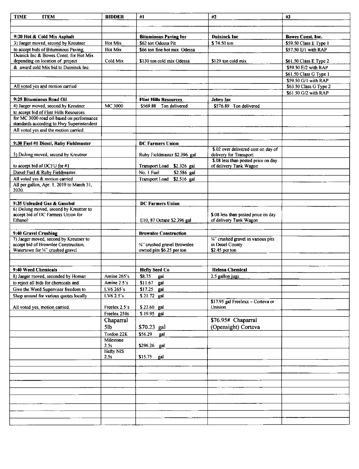| <b>TIME</b><br><b>ITEM</b>                                                          | <b>BIDDER</b> | #1                           | #2                                                            | #3                       |
|-------------------------------------------------------------------------------------|---------------|------------------------------|---------------------------------------------------------------|--------------------------|
|                                                                                     |               |                              |                                                               |                          |
|                                                                                     |               |                              |                                                               |                          |
| 9:20 Hot & Cold Mix Asphalt                                                         |               | <b>Bituminous Paving Inc</b> | <b>Duininck Inc</b>                                           | <b>Bowes Const. Inc.</b> |
| 3) Jaeger moved, second by Kreutner                                                 | Hot Mix       | \$62 ton Odessa Pit          | \$74.50 ton                                                   | \$59.50 Class E Type 1   |
| to accept bids of Bituminous Paving,                                                | Hot Mix       | \$66 ton fine hot mix Odessa |                                                               | \$57.50 E/1 with RAP     |
| Duinick Inc & Bowes Const. for Hot Mix                                              |               |                              |                                                               |                          |
| depending on location of project                                                    | Cold Mix      | \$130 ton cold mix Odessa    | \$129 ton cold mix                                            | \$61.50 Class E Type 2   |
| & award cold Mix bid to Duininck Inc.                                               |               |                              |                                                               | \$59.50 E/2 with RAP     |
|                                                                                     |               |                              |                                                               | \$61.50 Class G Type 1   |
|                                                                                     |               |                              |                                                               | \$59.50 G/1 with RAP     |
| All voted yes and motion carried                                                    |               |                              |                                                               | \$63.50 Class G Type 2   |
|                                                                                     |               |                              |                                                               | \$61.50 G/2 with RAP     |
| 9:25 Bituminous Road Oil                                                            |               | <b>Flint Hills Resources</b> | Jebro Inc                                                     |                          |
| 4) Jaeger moved, second by Kreutner                                                 | MC 3000       | \$569.88 Ton delivered       | \$576.89 Ton delivered                                        |                          |
|                                                                                     |               |                              |                                                               |                          |
| to accept bid of Flint Hills Resources<br>for MC 3000 road oil based on performance |               |                              |                                                               |                          |
| standards according to Hwy Superintendent                                           |               |                              |                                                               |                          |
| All voted yes and the motion carried.                                               |               |                              |                                                               |                          |
|                                                                                     |               |                              |                                                               |                          |
|                                                                                     |               |                              |                                                               |                          |
| 9:30 Fuel #1 Diesel, Ruby Fieldmaster                                               |               | <b>DC Farmers Union</b>      |                                                               |                          |
| 5) DeJong moved, second by Kreutner                                                 |               |                              | \$.02 over delivered cost on day of                           |                          |
|                                                                                     |               | Ruby Fieldmaster \$2.396 gal | delivery for Transport<br>\$.08 less than posted price on day |                          |
| to accept bid of DCFU for #1                                                        |               | Transport Load \$2.326 gal   | of delivery Tank Wagon                                        |                          |
| Diesel Fuel & Ruby Fieldmaster.                                                     |               | No. 1 Fuel<br>\$2.586 gal    |                                                               |                          |
|                                                                                     |               |                              |                                                               |                          |
| All voted yes & motion carried<br>All per gallon, Apr. 1, 2019 to March 31,         |               | Transport Load \$2.516 gal   |                                                               |                          |
| 2020.                                                                               |               |                              |                                                               |                          |
|                                                                                     |               |                              |                                                               |                          |
|                                                                                     |               |                              |                                                               |                          |
| 9:35 Unleaded Gas & Gasohol<br>6) DeJong moved, second by Kreutner to               |               | <b>DC Farmers Union</b>      |                                                               |                          |
| accept bid of DC Farmers Union for                                                  |               |                              | \$.08 less than posted price on day                           |                          |
| Ethanol                                                                             |               | E10, 87 Octane \$2.396 gal   | of delivery Tank Wagon                                        |                          |
|                                                                                     |               |                              |                                                               |                          |
|                                                                                     |               | <b>Brownlee Construction</b> |                                                               |                          |
| 9:40 Gravel Crushing<br>7) Jaeger moved, second by Kreutner to                      |               |                              | "/4" crushed gravel in various pits                           |                          |
| accept bid of Brownlee Construction,                                                |               | 3/4" crushed gravel Brownlee | in Deuel County                                               |                          |
| Watertown for "" crushed gravel                                                     |               | owned pits \$6.25 per ton    | \$2.45 per ton                                                |                          |
|                                                                                     |               |                              |                                                               |                          |
|                                                                                     |               |                              |                                                               |                          |
|                                                                                     |               |                              |                                                               |                          |
| 9:40 Weed Chemicals                                                                 |               | <b>Hefty Seed Co</b>         | <b>Helena Chemical</b>                                        |                          |
| 8) Jaeger moved, seconded by Homan                                                  | Amine 265's   | \$8.75<br>gai                | 2.5 gallon jugs                                               |                          |
| to reject all bids for chemicals and                                                | Amine 2.5's   | \$11.67 gal                  |                                                               |                          |
| Give the Weed Supervisor freedom to                                                 | LV6 265's     | \$17.25 gal                  |                                                               |                          |
| Shop around for various quotes locally                                              | LV6 2.5's     | \$21.72 gal                  |                                                               |                          |
|                                                                                     |               |                              | \$17.95 gal Freelexx - Corteva or                             |                          |
| All voted yes, motion carried.                                                      | Freelex 2.5's | \$22.60 gal                  | Unision                                                       |                          |
|                                                                                     | Freelex 250s  | \$19.95 gal                  |                                                               |                          |
|                                                                                     | Chaparral     |                              | \$76.95# Chaparral                                            |                          |
|                                                                                     | 5lb           | \$70.23 gal                  | (Opensight) Corteva                                           |                          |
|                                                                                     | Tordon 22K    | \$56.29<br>gal               |                                                               |                          |
|                                                                                     | Milestone     |                              |                                                               |                          |
|                                                                                     | 2.5s          | \$296.26 gal                 |                                                               |                          |
|                                                                                     | Hefty NIS     |                              |                                                               |                          |
|                                                                                     | 2.5s          | \$15.75<br>gal               |                                                               |                          |
|                                                                                     |               |                              |                                                               |                          |
|                                                                                     |               |                              |                                                               |                          |
|                                                                                     |               |                              |                                                               |                          |
|                                                                                     |               |                              |                                                               |                          |
|                                                                                     |               |                              |                                                               |                          |
|                                                                                     |               |                              |                                                               |                          |
|                                                                                     |               |                              |                                                               |                          |
|                                                                                     |               |                              |                                                               |                          |
|                                                                                     |               |                              |                                                               |                          |
|                                                                                     |               |                              |                                                               |                          |
|                                                                                     |               |                              |                                                               |                          |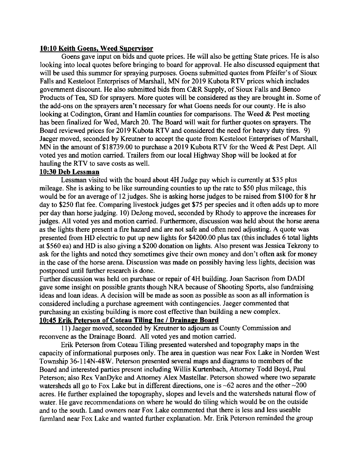### 10:10 Keith Goens. Weed Suoervisor

Goens gave input on bids and quote prices. He will also be getting State prices. He is also looking into local quotes before bringing to board for approval. He also discussed equipment that will be used this summer for spraying purposes. Goens submitted quotes from Pfeifer's of Sioux Falls and Kesteloot Enterprises of Marshall, MN for 2019 Kubota RTV prices which includes govemment discount. He also submitted bids from C&R Supply, of Sioux Falls and Benco Products of Tea, SD for sprayers. More quotes will be considered as they are brought in. Some of the add-ons on the sprayers aren't necessary for what Goens needs for our county. He is also looking at Codington, Grant and Hamlin counties for comparisons. The Weed  $\&$  Pest meeting has been finalized for Wed, March 20. The Board will wait for further quotes on sprayers. The Board reviewed prices for 2019 Kubota RTV and considered the need for heavy duty tires. 9) Jaeger moved, seconded by Kreutner to accept the quote from Kesteloot Enterprises of Marshall, MN in the amount of \$18739.00 to purchase a 2019 Kubota RTV for the Weed & Pest Dept. All voted yes and motion carried. Trailers from our local Highway Shop will be looked at for hauling the RTV to save costs as well.

## 10:30 Deb Lessman

Lessman visited with the board about 4H Judge pay which is currently at \$35 plus mileage. She is asking to be like surrounding counties to up the rate to \$50 plus mileage, this would be for an average of 12 judges. She is asking horse judges to be raised from \$100 for 8 hr day to \$250 flat fee. Comparing livestock judges get \$75 per species and it often adds up to more per day than horse judging. 10) DeJong moved, seconded by Rhody to approve the increases for judges. All voted yes and motion carried. Furthermore, discussion was held about the horse arena as the lights there present a fire hazard and are not safe and often need adjusting. A quote was presented from HD electric to put up new lights for \$4200.00 plus tax (this includes 6 total lights at \$560 ea) and HD is also giving a \$200 donation on lights. Also present was Jessica Tekrony to ask for the lights and noted they sometimes give their own money and don't often ask for money in the case of the horse arena. Discussion was made on possibly having less lights, decision was postponed until further research is done.

Further discussion was held on purchase or repair of 4H building. Joan Sacrison from DADI gave some insight on possible grants though NRA because of Shooting Sports, also fundraising ideas and loan ideas. A decision will be made as soon as possible as soon as all information is considered including a purchase agreement with contingencies. Jaeger commented that purchasing an existing building is more cost effective than building a new complex.

# 10:45 Erik Peterson of Coteau Tiling Inc / Drainage Board

11) Jaeger moved, seconded by Kreutner to adjoum as County Commission and reconvene as the Drainage Board. All voted yes and motion carried.

Erik Peterson from Coteau Tiling presented watershed and topography maps in the capacity of informational purposes only. The area in question was near Fox Lake in Norden West Township 36-114N-48W. Peterson presented several maps and diagrams to members of the Board and interested parties present including Willis Kurtenbach, Attomey Todd Boyd, Paul Peterson; also Rex VanDyke and Attomey Alex Mastellar. Peterson showed where two separate watersheds all go to Fox Lake but in different directions, one is  $\sim 62$  acres and the other  $\sim 200$ acres. He further explained the topography, slopes and levels and the watersheds natural flow of water. He gave recommendations on where he would do tiling which would be on the outside and to the south. Land owners near Fox Lake commented that there is less and less useable farmland near Fox Lake and wanted further explanation. Mr. Erik Peterson reminded the group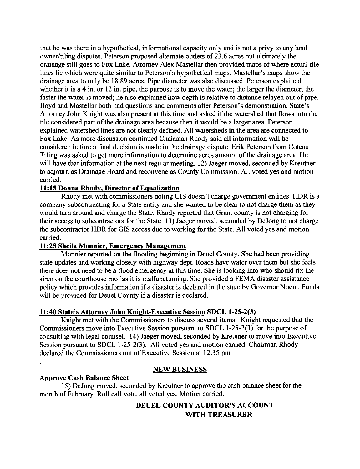that he was there in a hypothetical, informational capacity only and is not a privy to any land owner/tiling disputes. Peterson proposed altemate outlets of 23.6 acres but ultimately the drainage still goes to Fox Lake. Attomey Alex Mastellar then provided maps of where actual tile lines lie which were quite similar to Peterson's hypothetical maps. Mastellar's maps show the drainage area to only be 18.89 acres. Pipe diameter was also discussed. Peterson explained whether it is a 4 in. or 12 in. pipe, the purpose is to move the water; the larger the diameter, the faster the water is moved; he also explained how depth is relative to distance relayed out of pipe. Boyd and Mastellar both had questions and comments after Peterson's demonstration. State's Attorney John Knight was also present at this time and asked if the watershed that flows into the tile considered part of the drainage area because then it would be a larger area. Peterson explained watershed lines are not clearly defined. All watersheds in the area are connected to Fox Lake. As more discussion continued Chairman Rhody said all information will be considered before a final decision is made in the drainage dispute. Erik Peterson from Coteau Tiling was asked to get more information to determine acres amount of the drainage area. He will have that information at the next regular meeting. 12) Jaeger moved, seconded by Kreutner to adjoum as Drainage Board and reconvene as County Commission. All voted yes and motion carried.

## 11:15 Donna Rhody, Director of Equalization

Rhody met with commissioners noting GIS doesn't charge government entities. HDR is a company subcontracting for a State entity and she wanted to be clear to not charge them as they would tum around and charge the State. Rhody reported that Grant county is not charging for their access to subcontractors for the State. 13) Jaeger moved, seconded by DeJong to not charge the subcontractor HDR for GIS access due to working for the State. All voted yes and motion carried.

### 11:25 Sheila Monnier, Emergency Management

Monnier reported on the flooding beginning in Deuel County. She had been providing state updates and working closely with highway dept. Roads have water over them but she feels there does not need to be a flood emergency at this time. She is looking into who should fix the siren on the courthouse roof as it is malfunctioning. She provided a FEMA disaster assistance policy which provides information if a disaster is declared in the state by Govemor Noem. Funds will be provided for Deuel County if a disaster is declared.

## 1l:40 State's Attornev John Kniqht-Executive Session SDCL 1-25-2(3)

Knight met with the Commissioners to discuss several items. Knight requested that the Commissioners move into Executive Session pursuant to SDCL l-25-2(3) for the purpose of consulting with legal counsel. 14) Jaeger moved, seconded by Kreutner to move into Executive Session pursuant to SDCL 1-25-2(3). All voted yes and motion carried. Chairman Rhody declared the Commissioners out of Executive Session at 12:35 pm

## NEW BUSINESS

### Aoprove Cash Balance Sheet

15) DeJong moved, seconded by Kreutner to approve the cash balance sheet for the month of February. Roll call vote, all voted yes. Motion carried.

# DEUEL COUNTY AUDITOR'S ACCOUNT WITH TREASURER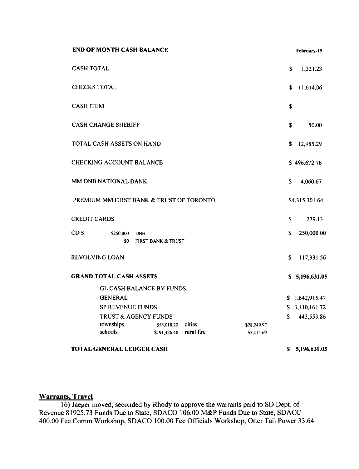| <b>END OF MONTH CASH BALANCE</b>                                                                         |    | February-19    |
|----------------------------------------------------------------------------------------------------------|----|----------------|
| <b>CASH TOTAL</b>                                                                                        | \$ | 1,321.23       |
| <b>CHECKS TOTAL</b>                                                                                      | \$ | 11,614.06      |
| <b>CASH ITEM</b>                                                                                         | \$ |                |
| <b>CASH CHANGE SHERIFF</b>                                                                               | \$ | 50.00          |
| TOTAL CASH ASSETS ON HAND                                                                                | \$ | 12,985.29      |
| <b>CHECKING ACCOUNT BALANCE</b>                                                                          |    | \$496,672.76   |
| MM DNB NATIONAL BANK                                                                                     | \$ | 4,060.67       |
| PREMIUM MM FIRST BANK & TRUST OF TORONTO                                                                 |    | \$4,315,301.64 |
| <b>CREDIT CARDS</b>                                                                                      | \$ | 279.13         |
| CD'S<br>\$250,000<br><b>DNB</b><br>\$0<br><b>FIRST BANK &amp; TRUST</b>                                  | S  | 250,000.00     |
| <b>REVOLVING LOAN</b>                                                                                    | \$ | 117,331.56     |
| <b>GRAND TOTAL CASH ASSETS</b>                                                                           |    | \$5,196,631.05 |
| <b>GL CASH BALANCE BY FUNDS:</b>                                                                         |    |                |
| <b>GENERAL</b>                                                                                           |    | \$1,642,915.47 |
| <b>SP REVENUE FUNDS</b>                                                                                  |    | \$3,110,161.72 |
| <b>TRUST &amp; AGENCY FUNDS</b>                                                                          | S. | 443,553.86     |
| townships<br>cities<br>\$58,018.20<br>\$28,249.97<br>schools<br>rural fire<br>\$191,426.48<br>\$3,415.69 |    |                |
|                                                                                                          |    |                |
| <b>TOTAL GENERAL LEDGER CASH</b>                                                                         | S. | 5,196,631.05   |

## **Warrants, Travel**

16) Jaeger moved, seconded by Rhody to approve the warrants paid to SD Dept. of Revenue 81925.73 Funds Due to State, SDACO 106.00 M&P Funds Due to State, SDACC 400.00 Fee Comm Workshop, SDACO 100.00 Fee Officials Workshop, Otter Tail Power 33.64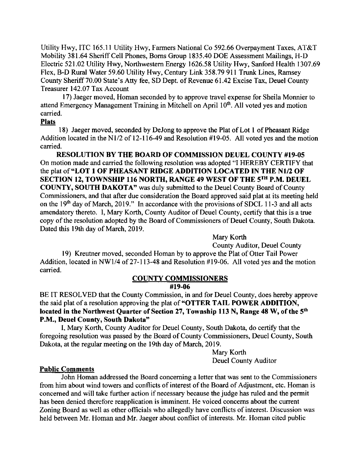Utility Hwy, ITC 165.11 Utility Hwy, Farmers National Co 592.66 Overpayment Taxes, AT&T Mobility 381.64 Sheriff Cell Phones, Borns Group 1835.40 DOE Assessment Mailings, H-D Electric 521.02 Utility Hwy, Northwestern Energy 1626.58 Utility Hwy, Sanford Health 1307.69 Flex, B-D Rural Water 59.60 Utility Hwy, Century Link 358.79 911 Trunk Lines, Ramsey County Sheriff70.00 State's Atty fee, SD Dept. of Revenue 61.42 Excise Tax, Deuel County Treasurer 142.07 Tax Account

l7) Jaeger moved, Homan seconded by to approve travel expense for Sheila Monnier to attend Emergency Management Training in Mitchell on April 10<sup>th</sup>. All voted yes and motion carried.

#### Plats

18) Jaeger moved, seconded by DeJong to approve the Plat of Lot 1 of Pheasant Ridge Addition located in the N1/2 of 12-116-49 and Resolution #19-05. All voted yes and the motion carried.

RESOLUTION BY THE BOARD OF COMMISSION DEUEL COUNTY #19-05 On motion made and carried the following resolution was adopted "I HEREBY CERTIFY that the plat of "LOT I OF PHEASANT RIDGE ADDITION LOCATED IN THE N1/2 OF SECTION 12, TOWNSHIP 116 NORTH, RANGE 49 WEST OF THE 5TH P.M. DEUEL COUNTY, SOUTH DAKOTA" was duly submitted to the Deuel County Board of County Commissioners, and that after due consideration the Board approved said plat at its meeting held on the 19<sup>th</sup> day of March, 2019." In accordance with the provisions of SDCL 11-3 and all acts amendatory thereto. I, Mary Korth, County Auditor of Deuel County, certify that this is a true copy of the resolution adopted by the Board of Commissioners of Deuel County, South Dakota. Dated this 19th day of March, 2019.

Mary Korth

County Auditor, Deuel County 19) Kreutner moved, seconded Homan by to approve the Plat of Otter Tail Power Addition, located in NWl/4 of 27-113-48 and Resolution #19-06. All voted yes and the motion carried.

# COUNTY COMMISSIONERS

#### #19-06

BE IT RESOLVED that the County Commission, in and for Deuel County, does hereby approve the said plat of a resolution approving the plat of "OTTER TAIL POWER ADDITION, located in the Northwest Quarter of Section 27, Township 113 N, Range 48 W, of the 5<sup>th</sup> P.M., Deuel County, South Dakota"

I, Mary Korth, County Auditor for Deuel County, South Dakota, do certify that the foregoing resolution was passed by the Board of County Commissioners, Deuel County, South Dakota, at the regular meeting on the 19th day of March, 2019.

> Mary Korth Deuel County Auditor

### Public Comments

John Homan addressed the Board conceming a letter that was sent to the Commissioners from him about wind towers and conflicts of interest of the Board of Adjustment, etc. Homan is concerned and will take further action if necessary because the judge has ruled and the permit has been denied therefore reapplication is imminent. He voiced concerns about the current Zoning Board as well as other officials who allegedly have conflicts of interest. Discussion was held between Mr. Homan and Mr. Jaeger about conflict of interests. Mr. Homan cited public